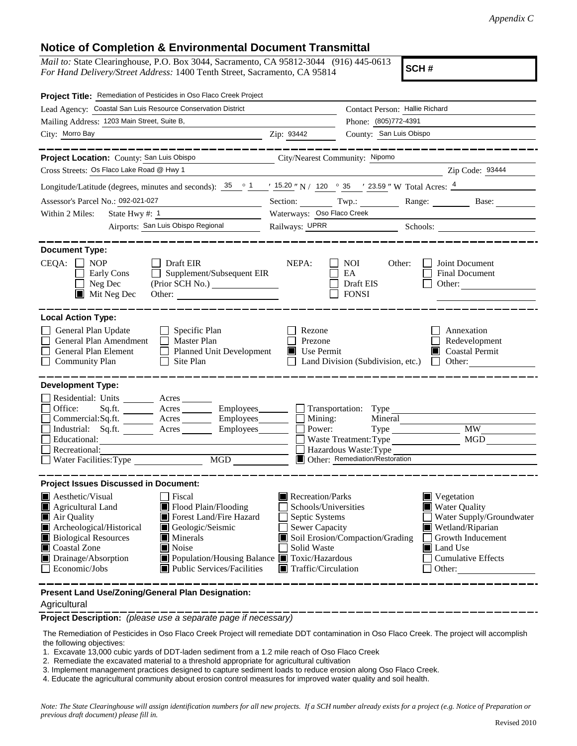## **Notice of Completion & Environmental Document Transmittal**

*Mail to:* State Clearinghouse, P.O. Box 3044, Sacramento, CA 95812-3044 (916) 445-0613 *For Hand Delivery/Street Address:* 1400 Tenth Street, Sacramento, CA 95814

**SCH #**

| Project Title: Remediation of Pesticides in Oso Flaco Creek Project                                                                                                                                                                                                                                                                                                    |                                                |                                                                                                                                                                                                                                                                                                                                    |                                                                        |  |  |  |
|------------------------------------------------------------------------------------------------------------------------------------------------------------------------------------------------------------------------------------------------------------------------------------------------------------------------------------------------------------------------|------------------------------------------------|------------------------------------------------------------------------------------------------------------------------------------------------------------------------------------------------------------------------------------------------------------------------------------------------------------------------------------|------------------------------------------------------------------------|--|--|--|
| Lead Agency: Coastal San Luis Resource Conservation District                                                                                                                                                                                                                                                                                                           |                                                | Contact Person: Hallie Richard                                                                                                                                                                                                                                                                                                     |                                                                        |  |  |  |
| Mailing Address: 1203 Main Street, Suite B,                                                                                                                                                                                                                                                                                                                            |                                                | Phone: (805)772-4391                                                                                                                                                                                                                                                                                                               |                                                                        |  |  |  |
| City: Morro Bay                                                                                                                                                                                                                                                                                                                                                        | Zip: 93442                                     | County: San Luis Obispo                                                                                                                                                                                                                                                                                                            |                                                                        |  |  |  |
|                                                                                                                                                                                                                                                                                                                                                                        |                                                |                                                                                                                                                                                                                                                                                                                                    |                                                                        |  |  |  |
| Project Location: County: San Luis Obispo                                                                                                                                                                                                                                                                                                                              | City/Nearest Community: Nipomo                 |                                                                                                                                                                                                                                                                                                                                    |                                                                        |  |  |  |
| Cross Streets: Os Flaco Lake Road @ Hwy 1                                                                                                                                                                                                                                                                                                                              |                                                |                                                                                                                                                                                                                                                                                                                                    | Zip Code: 93444                                                        |  |  |  |
| Longitude/Latitude (degrees, minutes and seconds): $\frac{35}{25}$ $\frac{1}{21}$ $\frac{15.20}{25}$ N / 120 $\degree$ 35 $\degree$ 23.59 " W Total Acres: $\frac{4}{25}$                                                                                                                                                                                              |                                                |                                                                                                                                                                                                                                                                                                                                    |                                                                        |  |  |  |
| Assessor's Parcel No.: 092-021-027                                                                                                                                                                                                                                                                                                                                     |                                                |                                                                                                                                                                                                                                                                                                                                    | Section: Twp.: Range: Base:                                            |  |  |  |
| State Hwy #: 1<br>Within 2 Miles:                                                                                                                                                                                                                                                                                                                                      | Waterways: Oso Flaco Creek                     |                                                                                                                                                                                                                                                                                                                                    |                                                                        |  |  |  |
| Airports: San Luis Obispo Regional                                                                                                                                                                                                                                                                                                                                     | Railways: UPRR Schools:                        |                                                                                                                                                                                                                                                                                                                                    |                                                                        |  |  |  |
|                                                                                                                                                                                                                                                                                                                                                                        |                                                |                                                                                                                                                                                                                                                                                                                                    |                                                                        |  |  |  |
| <b>Document Type:</b><br>$CEQA: \Box NP$<br>Draft EIR<br>Supplement/Subsequent EIR<br>Early Cons<br>$\Box$ Neg Dec<br>(Prior SCH No.)<br>$\blacksquare$ Mit Neg Dec<br>Other:                                                                                                                                                                                          | NEPA:                                          | <b>NOI</b><br>Other:<br>EA<br>Draft EIS<br><b>FONSI</b>                                                                                                                                                                                                                                                                            | Joint Document<br><b>Final Document</b><br>Other:                      |  |  |  |
| <b>Local Action Type:</b><br>General Plan Update<br>Specific Plan<br>Master Plan<br>General Plan Amendment<br>General Plan Element<br>Planned Unit Development<br>Site Plan<br><b>Community Plan</b>                                                                                                                                                                   | Rezone<br>Prezone<br>$\blacksquare$ Use Permit | Land Division (Subdivision, etc.)                                                                                                                                                                                                                                                                                                  | Annexation<br>Redevelopment<br>$\blacksquare$ Coastal Permit<br>Other: |  |  |  |
| <b>Development Type:</b>                                                                                                                                                                                                                                                                                                                                               |                                                |                                                                                                                                                                                                                                                                                                                                    |                                                                        |  |  |  |
| Residential: Units ________ Acres _______<br>Office:<br>Sq.fit.<br>Acres ____________ Employees_________<br>Employees_______<br>Commercial:Sq.ft. _________ Acres _______<br>Industrial: Sq.ft. _______ Acres _______<br>Employees_______<br>Educational:<br>Recreational:<br>Water Facilities: Type<br>MGD                                                            | Mining:<br>Power:                              | Transportation: Type<br>Mineral<br>Waste Treatment: Type<br>Hazardous Waste: Type<br><b>Other:</b> Remediation/Restoration                                                                                                                                                                                                         | <b>MW</b><br>MGD                                                       |  |  |  |
| <b>Project Issues Discussed in Document:</b>                                                                                                                                                                                                                                                                                                                           |                                                |                                                                                                                                                                                                                                                                                                                                    |                                                                        |  |  |  |
| Aesthetic/Visual<br>  Fiscal<br>Flood Plain/Flooding<br><b>Agricultural Land</b><br>Air Quality<br>Forest Land/Fire Hazard<br>Archeological/Historical<br>Geologic/Seismic<br><b>Biological Resources</b><br>Minerals<br>Coastal Zone<br>Noise<br>Drainage/Absorption<br>■ Population/Housing Balance ■ Toxic/Hazardous<br>Public Services/Facilities<br>Economic/Jobs | Solid Waste                                    | Recreation/Parks<br>$\blacksquare$ Vegetation<br><b>Water Quality</b><br>Schools/Universities<br>Water Supply/Groundwater<br>Septic Systems<br>Sewer Capacity<br>Wetland/Riparian<br>Soil Erosion/Compaction/Grading<br>Growth Inducement<br>Land Use<br><b>Cumulative Effects</b><br>$\blacksquare$ Traffic/Circulation<br>Other: |                                                                        |  |  |  |
| Present Land Use/Zoning/General Plan Designation:                                                                                                                                                                                                                                                                                                                      |                                                |                                                                                                                                                                                                                                                                                                                                    |                                                                        |  |  |  |

Agricultural

**Project Description:** *(please use a separate page if necessary)*

 The Remediation of Pesticides in Oso Flaco Creek Project will remediate DDT contamination in Oso Flaco Creek. The project will accomplish the following objectives:

1. Excavate 13,000 cubic yards of DDT-laden sediment from a 1.2 mile reach of Oso Flaco Creek

2. Remediate the excavated material to a threshold appropriate for agricultural cultivation

3. Implement management practices designed to capture sediment loads to reduce erosion along Oso Flaco Creek.

4. Educate the agricultural community about erosion control measures for improved water quality and soil health.

*Note: The State Clearinghouse will assign identification numbers for all new projects. If a SCH number already exists for a project (e.g. Notice of Preparation or previous draft document) please fill in.*